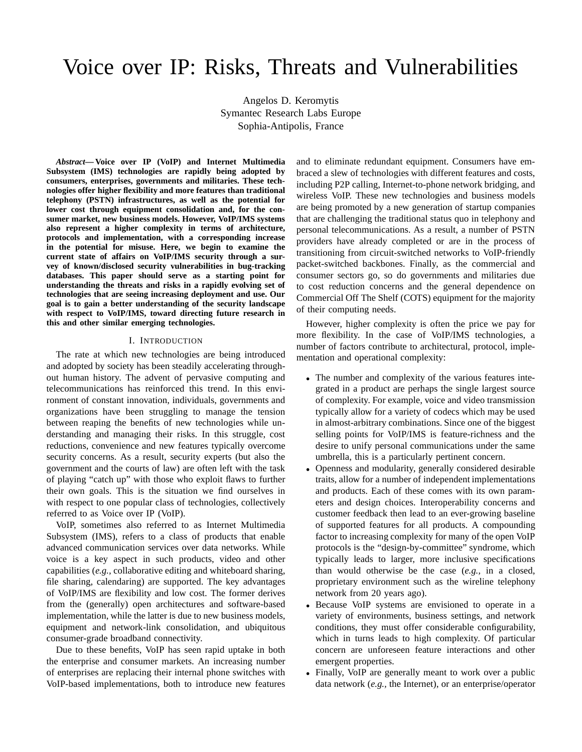# Voice over IP: Risks, Threats and Vulnerabilities

Angelos D. Keromytis Symantec Research Labs Europe Sophia-Antipolis, France

*Abstract***— Voice over IP (VoIP) and Internet Multimedia Subsystem (IMS) technologies are rapidly being adopted by consumers, enterprises, governments and militaries. These technologies offer higher flexibility and more features than traditional telephony (PSTN) infrastructures, as well as the potential for lower cost through equipment consolidation and, for the consumer market, new business models. However, VoIP/IMS systems also represent a higher complexity in terms of architecture, protocols and implementation, with a corresponding increase in the potential for misuse. Here, we begin to examine the current state of affairs on VoIP/IMS security through a survey of known/disclosed security vulnerabilities in bug-tracking databases. This paper should serve as a starting point for understanding the threats and risks in a rapidly evolving set of technologies that are seeing increasing deployment and use. Our goal is to gain a better understanding of the security landscape with respect to VoIP/IMS, toward directing future research in this and other similar emerging technologies.**

#### I. INTRODUCTION

The rate at which new technologies are being introduced and adopted by society has been steadily accelerating throughout human history. The advent of pervasive computing and telecommunications has reinforced this trend. In this environment of constant innovation, individuals, governments and organizations have been struggling to manage the tension between reaping the benefits of new technologies while understanding and managing their risks. In this struggle, cost reductions, convenience and new features typically overcome security concerns. As a result, security experts (but also the government and the courts of law) are often left with the task of playing "catch up" with those who exploit flaws to further their own goals. This is the situation we find ourselves in with respect to one popular class of technologies, collectively referred to as Voice over IP (VoIP).

VoIP, sometimes also referred to as Internet Multimedia Subsystem (IMS), refers to a class of products that enable advanced communication services over data networks. While voice is a key aspect in such products, video and other capabilities (*e.g.,* collaborative editing and whiteboard sharing, file sharing, calendaring) are supported. The key advantages of VoIP/IMS are flexibility and low cost. The former derives from the (generally) open architectures and software-based implementation, while the latter is due to new business models, equipment and network-link consolidation, and ubiquitous consumer-grade broadband connectivity.

Due to these benefits, VoIP has seen rapid uptake in both the enterprise and consumer markets. An increasing number of enterprises are replacing their internal phone switches with VoIP-based implementations, both to introduce new features

and to eliminate redundant equipment. Consumers have embraced a slew of technologies with different features and costs, including P2P calling, Internet-to-phone network bridging, and wireless VoIP. These new technologies and business models are being promoted by a new generation of startup companies that are challenging the traditional status quo in telephony and personal telecommunications. As a result, a number of PSTN providers have already completed or are in the process of transitioning from circuit-switched networks to VoIP-friendly packet-switched backbones. Finally, as the commercial and consumer sectors go, so do governments and militaries due to cost reduction concerns and the general dependence on Commercial Off The Shelf (COTS) equipment for the majority of their computing needs.

However, higher complexity is often the price we pay for more flexibility. In the case of VoIP/IMS technologies, a number of factors contribute to architectural, protocol, implementation and operational complexity:

- The number and complexity of the various features integrated in a product are perhaps the single largest source of complexity. For example, voice and video transmission typically allow for a variety of codecs which may be used in almost-arbitrary combinations. Since one of the biggest selling points for VoIP/IMS is feature-richness and the desire to unify personal communications under the same umbrella, this is a particularly pertinent concern.
- Openness and modularity, generally considered desirable traits, allow for a number of independent implementations and products. Each of these comes with its own parameters and design choices. Interoperability concerns and customer feedback then lead to an ever-growing baseline of supported features for all products. A compounding factor to increasing complexity for many of the open VoIP protocols is the "design-by-committee" syndrome, which typically leads to larger, more inclusive specifications than would otherwise be the case (*e.g.,* in a closed, proprietary environment such as the wireline telephony network from 20 years ago).
- Because VoIP systems are envisioned to operate in a variety of environments, business settings, and network conditions, they must offer considerable configurability, which in turns leads to high complexity. Of particular concern are unforeseen feature interactions and other emergent properties.
- Finally, VoIP are generally meant to work over a public data network (*e.g.,* the Internet), or an enterprise/operator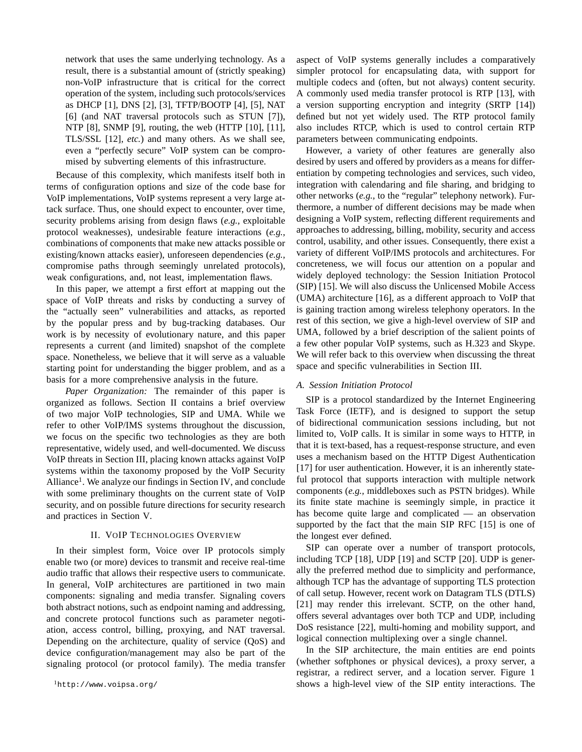network that uses the same underlying technology. As a result, there is a substantial amount of (strictly speaking) non-VoIP infrastructure that is critical for the correct operation of the system, including such protocols/services as DHCP [1], DNS [2], [3], TFTP/BOOTP [4], [5], NAT [6] (and NAT traversal protocols such as STUN [7]), NTP [8], SNMP [9], routing, the web (HTTP [10], [11], TLS/SSL [12], *etc.*) and many others. As we shall see, even a "perfectly secure" VoIP system can be compromised by subverting elements of this infrastructure.

Because of this complexity, which manifests itself both in terms of configuration options and size of the code base for VoIP implementations, VoIP systems represent a very large attack surface. Thus, one should expect to encounter, over time, security problems arising from design flaws (*e.g.,* exploitable protocol weaknesses), undesirable feature interactions (*e.g.,* combinations of components that make new attacks possible or existing/known attacks easier), unforeseen dependencies (*e.g.,* compromise paths through seemingly unrelated protocols), weak configurations, and, not least, implementation flaws.

In this paper, we attempt a first effort at mapping out the space of VoIP threats and risks by conducting a survey of the "actually seen" vulnerabilities and attacks, as reported by the popular press and by bug-tracking databases. Our work is by necessity of evolutionary nature, and this paper represents a current (and limited) snapshot of the complete space. Nonetheless, we believe that it will serve as a valuable starting point for understanding the bigger problem, and as a basis for a more comprehensive analysis in the future.

*Paper Organization:* The remainder of this paper is organized as follows. Section II contains a brief overview of two major VoIP technologies, SIP and UMA. While we refer to other VoIP/IMS systems throughout the discussion, we focus on the specific two technologies as they are both representative, widely used, and well-documented. We discuss VoIP threats in Section III, placing known attacks against VoIP systems within the taxonomy proposed by the VoIP Security Alliance<sup>1</sup>. We analyze our findings in Section IV, and conclude with some preliminary thoughts on the current state of VoIP security, and on possible future directions for security research and practices in Section V.

### II. VOIP TECHNOLOGIES OVERVIEW

In their simplest form, Voice over IP protocols simply enable two (or more) devices to transmit and receive real-time audio traffic that allows their respective users to communicate. In general, VoIP architectures are partitioned in two main components: signaling and media transfer. Signaling covers both abstract notions, such as endpoint naming and addressing, and concrete protocol functions such as parameter negotiation, access control, billing, proxying, and NAT traversal. Depending on the architecture, quality of service (QoS) and device configuration/management may also be part of the signaling protocol (or protocol family). The media transfer aspect of VoIP systems generally includes a comparatively simpler protocol for encapsulating data, with support for multiple codecs and (often, but not always) content security. A commonly used media transfer protocol is RTP [13], with a version supporting encryption and integrity (SRTP [14]) defined but not yet widely used. The RTP protocol family also includes RTCP, which is used to control certain RTP parameters between communicating endpoints.

However, a variety of other features are generally also desired by users and offered by providers as a means for differentiation by competing technologies and services, such video, integration with calendaring and file sharing, and bridging to other networks (*e.g.,* to the "regular" telephony network). Furthermore, a number of different decisions may be made when designing a VoIP system, reflecting different requirements and approaches to addressing, billing, mobility, security and access control, usability, and other issues. Consequently, there exist a variety of different VoIP/IMS protocols and architectures. For concreteness, we will focus our attention on a popular and widely deployed technology: the Session Initiation Protocol (SIP) [15]. We will also discuss the Unlicensed Mobile Access (UMA) architecture [16], as a different approach to VoIP that is gaining traction among wireless telephony operators. In the rest of this section, we give a high-level overview of SIP and UMA, followed by a brief description of the salient points of a few other popular VoIP systems, such as H.323 and Skype. We will refer back to this overview when discussing the threat space and specific vulnerabilities in Section III.

#### *A. Session Initiation Protocol*

SIP is a protocol standardized by the Internet Engineering Task Force (IETF), and is designed to support the setup of bidirectional communication sessions including, but not limited to, VoIP calls. It is similar in some ways to HTTP, in that it is text-based, has a request-response structure, and even uses a mechanism based on the HTTP Digest Authentication [17] for user authentication. However, it is an inherently stateful protocol that supports interaction with multiple network components (*e.g.,* middleboxes such as PSTN bridges). While its finite state machine is seemingly simple, in practice it has become quite large and complicated — an observation supported by the fact that the main SIP RFC [15] is one of the longest ever defined.

SIP can operate over a number of transport protocols, including TCP [18], UDP [19] and SCTP [20]. UDP is generally the preferred method due to simplicity and performance, although TCP has the advantage of supporting TLS protection of call setup. However, recent work on Datagram TLS (DTLS) [21] may render this irrelevant. SCTP, on the other hand, offers several advantages over both TCP and UDP, including DoS resistance [22], multi-homing and mobility support, and logical connection multiplexing over a single channel.

In the SIP architecture, the main entities are end points (whether softphones or physical devices), a proxy server, a registrar, a redirect server, and a location server. Figure 1 shows a high-level view of the SIP entity interactions. The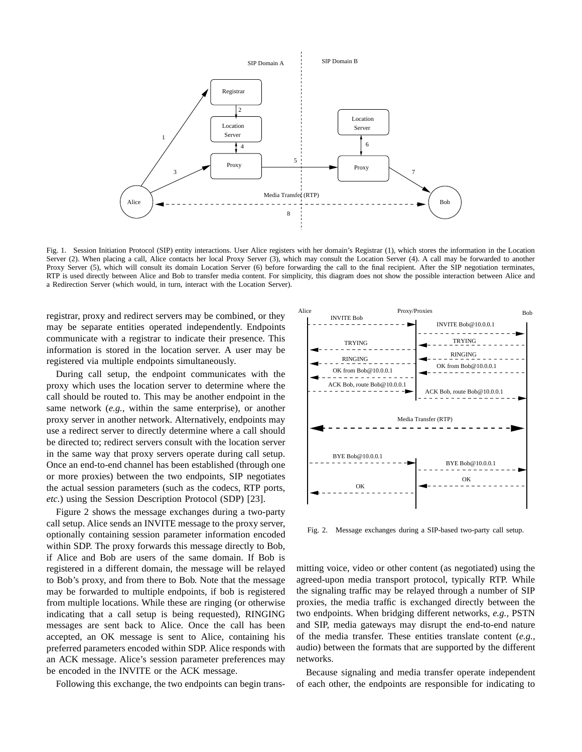

Fig. 1. Session Initiation Protocol (SIP) entity interactions. User Alice registers with her domain's Registrar (1), which stores the information in the Location Server (2). When placing a call, Alice contacts her local Proxy Server (3), which may consult the Location Server (4). A call may be forwarded to another Proxy Server (5), which will consult its domain Location Server (6) before forwarding the call to the final recipient. After the SIP negotiation terminates, RTP is used directly between Alice and Bob to transfer media content. For simplicity, this diagram does not show the possible interaction between Alice and a Redirection Server (which would, in turn, interact with the Location Server).

registrar, proxy and redirect servers may be combined, or they may be separate entities operated independently. Endpoints communicate with a registrar to indicate their presence. This information is stored in the location server. A user may be registered via multiple endpoints simultaneously.

During call setup, the endpoint communicates with the proxy which uses the location server to determine where the call should be routed to. This may be another endpoint in the same network (*e.g.,* within the same enterprise), or another proxy server in another network. Alternatively, endpoints may use a redirect server to directly determine where a call should be directed to; redirect servers consult with the location server in the same way that proxy servers operate during call setup. Once an end-to-end channel has been established (through one or more proxies) between the two endpoints, SIP negotiates the actual session parameters (such as the codecs, RTP ports, *etc.*) using the Session Description Protocol (SDP) [23].

Figure 2 shows the message exchanges during a two-party call setup. Alice sends an INVITE message to the proxy server, optionally containing session parameter information encoded within SDP. The proxy forwards this message directly to Bob, if Alice and Bob are users of the same domain. If Bob is registered in a different domain, the message will be relayed to Bob's proxy, and from there to Bob. Note that the message may be forwarded to multiple endpoints, if bob is registered from multiple locations. While these are ringing (or otherwise indicating that a call setup is being requested), RINGING messages are sent back to Alice. Once the call has been accepted, an OK message is sent to Alice, containing his preferred parameters encoded within SDP. Alice responds with an ACK message. Alice's session parameter preferences may be encoded in the INVITE or the ACK message.

Following this exchange, the two endpoints can begin trans-



Fig. 2. Message exchanges during a SIP-based two-party call setup.

mitting voice, video or other content (as negotiated) using the agreed-upon media transport protocol, typically RTP. While the signaling traffic may be relayed through a number of SIP proxies, the media traffic is exchanged directly between the two endpoints. When bridging different networks, *e.g.,* PSTN and SIP, media gateways may disrupt the end-to-end nature of the media transfer. These entities translate content (*e.g.,* audio) between the formats that are supported by the different networks.

Because signaling and media transfer operate independent of each other, the endpoints are responsible for indicating to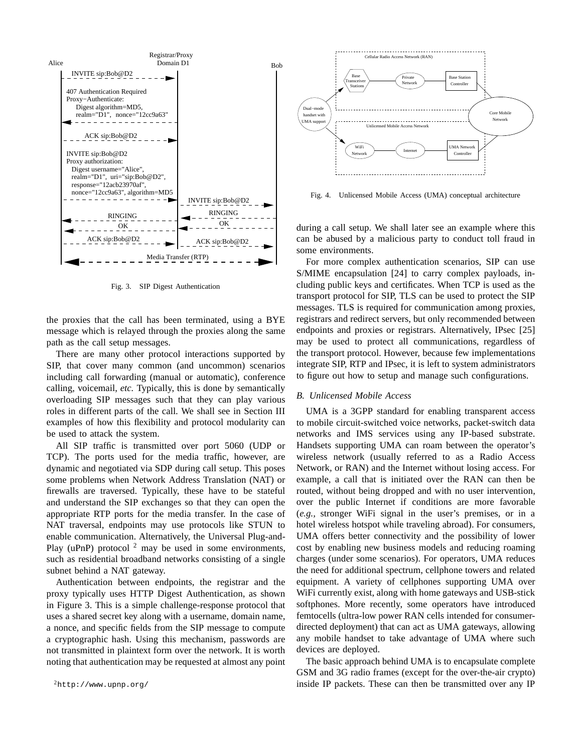

Fig. 3. SIP Digest Authentication

the proxies that the call has been terminated, using a BYE message which is relayed through the proxies along the same path as the call setup messages.

There are many other protocol interactions supported by SIP, that cover many common (and uncommon) scenarios including call forwarding (manual or automatic), conference calling, voicemail, *etc.* Typically, this is done by semantically overloading SIP messages such that they can play various roles in different parts of the call. We shall see in Section III examples of how this flexibility and protocol modularity can be used to attack the system.

All SIP traffic is transmitted over port 5060 (UDP or TCP). The ports used for the media traffic, however, are dynamic and negotiated via SDP during call setup. This poses some problems when Network Address Translation (NAT) or firewalls are traversed. Typically, these have to be stateful and understand the SIP exchanges so that they can open the appropriate RTP ports for the media transfer. In the case of NAT traversal, endpoints may use protocols like STUN to enable communication. Alternatively, the Universal Plug-and-Play (uPnP) protocol  $2$  may be used in some environments, such as residential broadband networks consisting of a single subnet behind a NAT gateway.

Authentication between endpoints, the registrar and the proxy typically uses HTTP Digest Authentication, as shown in Figure 3. This is a simple challenge-response protocol that uses a shared secret key along with a username, domain name, a nonce, and specific fields from the SIP message to compute a cryptographic hash. Using this mechanism, passwords are not transmitted in plaintext form over the network. It is worth noting that authentication may be requested at almost any point



Fig. 4. Unlicensed Mobile Access (UMA) conceptual architecture

during a call setup. We shall later see an example where this can be abused by a malicious party to conduct toll fraud in some environments.

For more complex authentication scenarios, SIP can use S/MIME encapsulation [24] to carry complex payloads, including public keys and certificates. When TCP is used as the transport protocol for SIP, TLS can be used to protect the SIP messages. TLS is required for communication among proxies, registrars and redirect servers, but only recommended between endpoints and proxies or registrars. Alternatively, IPsec [25] may be used to protect all communications, regardless of the transport protocol. However, because few implementations integrate SIP, RTP and IPsec, it is left to system administrators to figure out how to setup and manage such configurations.

### *B. Unlicensed Mobile Access*

UMA is a 3GPP standard for enabling transparent access to mobile circuit-switched voice networks, packet-switch data networks and IMS services using any IP-based substrate. Handsets supporting UMA can roam between the operator's wireless network (usually referred to as a Radio Access Network, or RAN) and the Internet without losing access. For example, a call that is initiated over the RAN can then be routed, without being dropped and with no user intervention, over the public Internet if conditions are more favorable (*e.g.,* stronger WiFi signal in the user's premises, or in a hotel wireless hotspot while traveling abroad). For consumers, UMA offers better connectivity and the possibility of lower cost by enabling new business models and reducing roaming charges (under some scenarios). For operators, UMA reduces the need for additional spectrum, cellphone towers and related equipment. A variety of cellphones supporting UMA over WiFi currently exist, along with home gateways and USB-stick softphones. More recently, some operators have introduced femtocells (ultra-low power RAN cells intended for consumerdirected deployment) that can act as UMA gateways, allowing any mobile handset to take advantage of UMA where such devices are deployed.

The basic approach behind UMA is to encapsulate complete GSM and 3G radio frames (except for the over-the-air crypto) inside IP packets. These can then be transmitted over any IP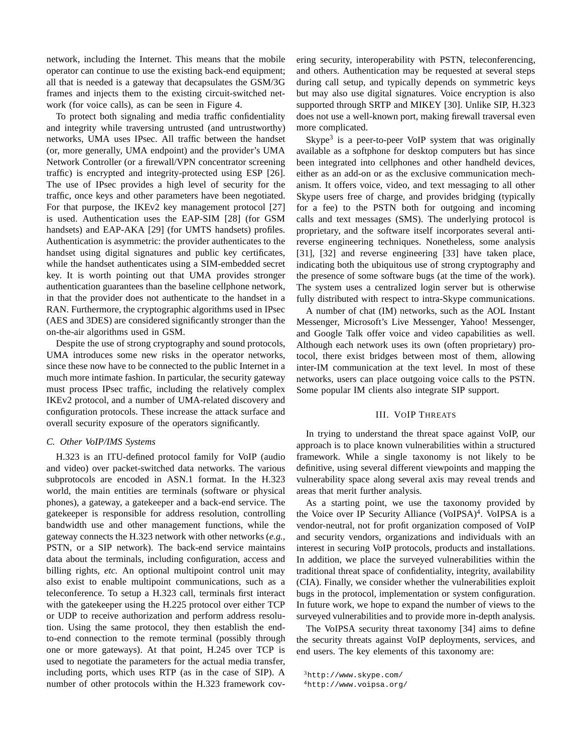network, including the Internet. This means that the mobile operator can continue to use the existing back-end equipment; all that is needed is a gateway that decapsulates the GSM/3G frames and injects them to the existing circuit-switched network (for voice calls), as can be seen in Figure 4.

To protect both signaling and media traffic confidentiality and integrity while traversing untrusted (and untrustworthy) networks, UMA uses IPsec. All traffic between the handset (or, more generally, UMA endpoint) and the provider's UMA Network Controller (or a firewall/VPN concentrator screening traffic) is encrypted and integrity-protected using ESP [26]. The use of IPsec provides a high level of security for the traffic, once keys and other parameters have been negotiated. For that purpose, the IKEv2 key management protocol [27] is used. Authentication uses the EAP-SIM [28] (for GSM handsets) and EAP-AKA [29] (for UMTS handsets) profiles. Authentication is asymmetric: the provider authenticates to the handset using digital signatures and public key certificates, while the handset authenticates using a SIM-embedded secret key. It is worth pointing out that UMA provides stronger authentication guarantees than the baseline cellphone network, in that the provider does not authenticate to the handset in a RAN. Furthermore, the cryptographic algorithms used in IPsec (AES and 3DES) are considered significantly stronger than the on-the-air algorithms used in GSM.

Despite the use of strong cryptography and sound protocols, UMA introduces some new risks in the operator networks, since these now have to be connected to the public Internet in a much more intimate fashion. In particular, the security gateway must process IPsec traffic, including the relatively complex IKEv2 protocol, and a number of UMA-related discovery and configuration protocols. These increase the attack surface and overall security exposure of the operators significantly.

#### *C. Other VoIP/IMS Systems*

H.323 is an ITU-defined protocol family for VoIP (audio and video) over packet-switched data networks. The various subprotocols are encoded in ASN.1 format. In the H.323 world, the main entities are terminals (software or physical phones), a gateway, a gatekeeper and a back-end service. The gatekeeper is responsible for address resolution, controlling bandwidth use and other management functions, while the gateway connects the H.323 network with other networks (*e.g.,* PSTN, or a SIP network). The back-end service maintains data about the terminals, including configuration, access and billing rights, *etc.* An optional multipoint control unit may also exist to enable multipoint communications, such as a teleconference. To setup a H.323 call, terminals first interact with the gatekeeper using the H.225 protocol over either TCP or UDP to receive authorization and perform address resolution. Using the same protocol, they then establish the endto-end connection to the remote terminal (possibly through one or more gateways). At that point, H.245 over TCP is used to negotiate the parameters for the actual media transfer, including ports, which uses RTP (as in the case of SIP). A number of other protocols within the H.323 framework covering security, interoperability with PSTN, teleconferencing, and others. Authentication may be requested at several steps during call setup, and typically depends on symmetric keys but may also use digital signatures. Voice encryption is also supported through SRTP and MIKEY [30]. Unlike SIP, H.323 does not use a well-known port, making firewall traversal even more complicated.

Skype<sup>3</sup> is a peer-to-peer VoIP system that was originally available as a softphone for desktop computers but has since been integrated into cellphones and other handheld devices, either as an add-on or as the exclusive communication mechanism. It offers voice, video, and text messaging to all other Skype users free of charge, and provides bridging (typically for a fee) to the PSTN both for outgoing and incoming calls and text messages (SMS). The underlying protocol is proprietary, and the software itself incorporates several antireverse engineering techniques. Nonetheless, some analysis [31], [32] and reverse engineering [33] have taken place, indicating both the ubiquitous use of strong cryptography and the presence of some software bugs (at the time of the work). The system uses a centralized login server but is otherwise fully distributed with respect to intra-Skype communications.

A number of chat (IM) networks, such as the AOL Instant Messenger, Microsoft's Live Messenger, Yahoo! Messenger, and Google Talk offer voice and video capabilities as well. Although each network uses its own (often proprietary) protocol, there exist bridges between most of them, allowing inter-IM communication at the text level. In most of these networks, users can place outgoing voice calls to the PSTN. Some popular IM clients also integrate SIP support.

#### III. VOIP THREATS

In trying to understand the threat space against VoIP, our approach is to place known vulnerabilities within a structured framework. While a single taxonomy is not likely to be definitive, using several different viewpoints and mapping the vulnerability space along several axis may reveal trends and areas that merit further analysis.

As a starting point, we use the taxonomy provided by the Voice over IP Security Alliance (VoIPSA)<sup>4</sup>. VoIPSA is a vendor-neutral, not for profit organization composed of VoIP and security vendors, organizations and individuals with an interest in securing VoIP protocols, products and installations. In addition, we place the surveyed vulnerabilities within the traditional threat space of confidentiality, integrity, availability (CIA). Finally, we consider whether the vulnerabilities exploit bugs in the protocol, implementation or system configuration. In future work, we hope to expand the number of views to the surveyed vulnerabilities and to provide more in-depth analysis.

The VoIPSA security threat taxonomy [34] aims to define the security threats against VoIP deployments, services, and end users. The key elements of this taxonomy are:

<sup>3</sup>http://www.skype.com/

<sup>4</sup>http://www.voipsa.org/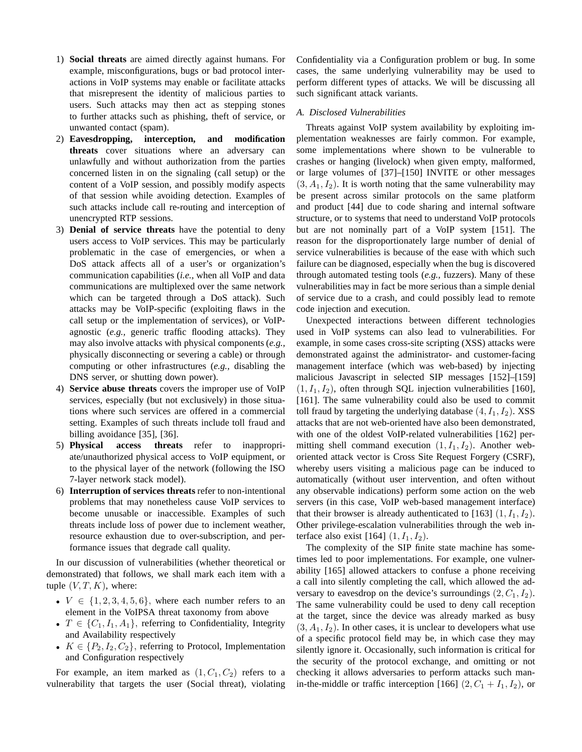- 1) **Social threats** are aimed directly against humans. For example, misconfigurations, bugs or bad protocol interactions in VoIP systems may enable or facilitate attacks that misrepresent the identity of malicious parties to users. Such attacks may then act as stepping stones to further attacks such as phishing, theft of service, or unwanted contact (spam).
- 2) **Eavesdropping, interception, and modification threats** cover situations where an adversary can unlawfully and without authorization from the parties concerned listen in on the signaling (call setup) or the content of a VoIP session, and possibly modify aspects of that session while avoiding detection. Examples of such attacks include call re-routing and interception of unencrypted RTP sessions.
- 3) **Denial of service threats** have the potential to deny users access to VoIP services. This may be particularly problematic in the case of emergencies, or when a DoS attack affects all of a user's or organization's communication capabilities (*i.e.,* when all VoIP and data communications are multiplexed over the same network which can be targeted through a DoS attack). Such attacks may be VoIP-specific (exploiting flaws in the call setup or the implementation of services), or VoIPagnostic (*e.g.,* generic traffic flooding attacks). They may also involve attacks with physical components (*e.g.,* physically disconnecting or severing a cable) or through computing or other infrastructures (*e.g.,* disabling the DNS server, or shutting down power).
- 4) **Service abuse threats** covers the improper use of VoIP services, especially (but not exclusively) in those situations where such services are offered in a commercial setting. Examples of such threats include toll fraud and billing avoidance [35], [36].
- 5) **Physical access threats** refer to inappropriate/unauthorized physical access to VoIP equipment, or to the physical layer of the network (following the ISO 7-layer network stack model).
- 6) **Interruption of services threats** refer to non-intentional problems that may nonetheless cause VoIP services to become unusable or inaccessible. Examples of such threats include loss of power due to inclement weather, resource exhaustion due to over-subscription, and performance issues that degrade call quality.

In our discussion of vulnerabilities (whether theoretical or demonstrated) that follows, we shall mark each item with a tuple  $(V, T, K)$ , where:

- $V \in \{1, 2, 3, 4, 5, 6\}$ , where each number refers to an element in the VoIPSA threat taxonomy from above
- $T \in \{C_1, I_1, A_1\}$ , referring to Confidentiality, Integrity and Availability respectively
- $K \in \{P_2, I_2, C_2\}$ , referring to Protocol, Implementation and Configuration respectively

For example, an item marked as  $(1, C_1, C_2)$  refers to a vulnerability that targets the user (Social threat), violating Confidentiality via a Configuration problem or bug. In some cases, the same underlying vulnerability may be used to perform different types of attacks. We will be discussing all such significant attack variants.

## *A. Disclosed Vulnerabilities*

Threats against VoIP system availability by exploiting implementation weaknesses are fairly common. For example, some implementations where shown to be vulnerable to crashes or hanging (livelock) when given empty, malformed, or large volumes of [37]–[150] INVITE or other messages  $(3, A_1, I_2)$ . It is worth noting that the same vulnerability may be present across similar protocols on the same platform and product [44] due to code sharing and internal software structure, or to systems that need to understand VoIP protocols but are not nominally part of a VoIP system [151]. The reason for the disproportionately large number of denial of service vulnerabilities is because of the ease with which such failure can be diagnosed, especially when the bug is discovered through automated testing tools (*e.g.,* fuzzers). Many of these vulnerabilities may in fact be more serious than a simple denial of service due to a crash, and could possibly lead to remote code injection and execution.

Unexpected interactions between different technologies used in VoIP systems can also lead to vulnerabilities. For example, in some cases cross-site scripting (XSS) attacks were demonstrated against the administrator- and customer-facing management interface (which was web-based) by injecting malicious Javascript in selected SIP messages [152]–[159]  $(1, I<sub>1</sub>, I<sub>2</sub>)$ , often through SQL injection vulnerabilities [160], [161]. The same vulnerability could also be used to commit toll fraud by targeting the underlying database  $(4, I_1, I_2)$ . XSS attacks that are not web-oriented have also been demonstrated, with one of the oldest VoIP-related vulnerabilities [162] permitting shell command execution  $(1, I_1, I_2)$ . Another weboriented attack vector is Cross Site Request Forgery (CSRF), whereby users visiting a malicious page can be induced to automatically (without user intervention, and often without any observable indications) perform some action on the web servers (in this case, VoIP web-based management interface) that their browser is already authenticated to [163]  $(1, I_1, I_2)$ . Other privilege-escalation vulnerabilities through the web interface also exist [164]  $(1, I_1, I_2)$ .

The complexity of the SIP finite state machine has sometimes led to poor implementations. For example, one vulnerability [165] allowed attackers to confuse a phone receiving a call into silently completing the call, which allowed the adversary to eavesdrop on the device's surroundings  $(2, C_1, I_2)$ . The same vulnerability could be used to deny call reception at the target, since the device was already marked as busy  $(3, A<sub>1</sub>, I<sub>2</sub>)$ . In other cases, it is unclear to developers what use of a specific protocol field may be, in which case they may silently ignore it. Occasionally, such information is critical for the security of the protocol exchange, and omitting or not checking it allows adversaries to perform attacks such manin-the-middle or traffic interception [166]  $(2, C_1 + I_1, I_2)$ , or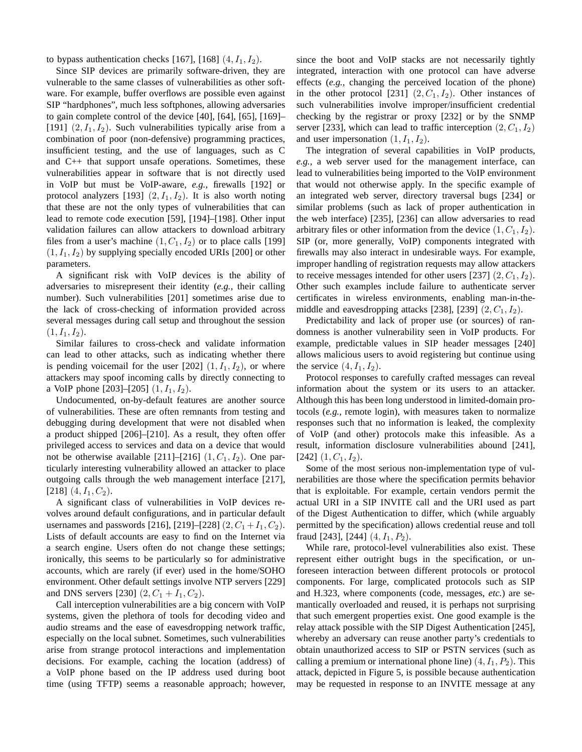to bypass authentication checks [167], [168]  $(4, I_1, I_2)$ .

Since SIP devices are primarily software-driven, they are vulnerable to the same classes of vulnerabilities as other software. For example, buffer overflows are possible even against SIP "hardphones", much less softphones, allowing adversaries to gain complete control of the device [40], [64], [65], [169]– [191]  $(2, I_1, I_2)$ . Such vulnerabilities typically arise from a combination of poor (non-defensive) programming practices, insufficient testing, and the use of languages, such as C and C++ that support unsafe operations. Sometimes, these vulnerabilities appear in software that is not directly used in VoIP but must be VoIP-aware, *e.g.,* firewalls [192] or protocol analyzers [193]  $(2, I_1, I_2)$ . It is also worth noting that these are not the only types of vulnerabilities that can lead to remote code execution [59], [194]–[198]. Other input validation failures can allow attackers to download arbitrary files from a user's machine  $(1, C_1, I_2)$  or to place calls [199]  $(1, I<sub>1</sub>, I<sub>2</sub>)$  by supplying specially encoded URIs [200] or other parameters.

A significant risk with VoIP devices is the ability of adversaries to misrepresent their identity (*e.g.,* their calling number). Such vulnerabilities [201] sometimes arise due to the lack of cross-checking of information provided across several messages during call setup and throughout the session  $(1, I_1, I_2).$ 

Similar failures to cross-check and validate information can lead to other attacks, such as indicating whether there is pending voicemail for the user  $[202]$   $(1, I<sub>1</sub>, I<sub>2</sub>)$ , or where attackers may spoof incoming calls by directly connecting to a VoIP phone  $[203]$ – $[205]$   $(1, I<sub>1</sub>, I<sub>2</sub>)$ .

Undocumented, on-by-default features are another source of vulnerabilities. These are often remnants from testing and debugging during development that were not disabled when a product shipped [206]–[210]. As a result, they often offer privileged access to services and data on a device that would not be otherwise available [211]–[216]  $(1, C_1, I_2)$ . One particularly interesting vulnerability allowed an attacker to place outgoing calls through the web management interface [217],  $[218]$   $(4, I_1, C_2)$ .

A significant class of vulnerabilities in VoIP devices revolves around default configurations, and in particular default usernames and passwords [216], [219]–[228]  $(2, C_1 + I_1, C_2)$ . Lists of default accounts are easy to find on the Internet via a search engine. Users often do not change these settings; ironically, this seems to be particularly so for administrative accounts, which are rarely (if ever) used in the home/SOHO environment. Other default settings involve NTP servers [229] and DNS servers [230]  $(2, C_1 + I_1, C_2)$ .

Call interception vulnerabilities are a big concern with VoIP systems, given the plethora of tools for decoding video and audio streams and the ease of eavesdropping network traffic, especially on the local subnet. Sometimes, such vulnerabilities arise from strange protocol interactions and implementation decisions. For example, caching the location (address) of a VoIP phone based on the IP address used during boot time (using TFTP) seems a reasonable approach; however,

since the boot and VoIP stacks are not necessarily tightly integrated, interaction with one protocol can have adverse effects (*e.g.,* changing the perceived location of the phone) in the other protocol [231]  $(2, C_1, I_2)$ . Other instances of such vulnerabilities involve improper/insufficient credential checking by the registrar or proxy [232] or by the SNMP server [233], which can lead to traffic interception  $(2, C_1, I_2)$ and user impersonation  $(1, I_1, I_2)$ .

The integration of several capabilities in VoIP products, *e.g.,* a web server used for the management interface, can lead to vulnerabilities being imported to the VoIP environment that would not otherwise apply. In the specific example of an integrated web server, directory traversal bugs [234] or similar problems (such as lack of proper authentication in the web interface) [235], [236] can allow adversaries to read arbitrary files or other information from the device  $(1, C_1, I_2)$ . SIP (or, more generally, VoIP) components integrated with firewalls may also interact in undesirable ways. For example, improper handling of registration requests may allow attackers to receive messages intended for other users [237]  $(2, C_1, I_2)$ . Other such examples include failure to authenticate server certificates in wireless environments, enabling man-in-themiddle and eavesdropping attacks [238], [239]  $(2, C_1, I_2)$ .

Predictability and lack of proper use (or sources) of randomness is another vulnerability seen in VoIP products. For example, predictable values in SIP header messages [240] allows malicious users to avoid registering but continue using the service  $(4, I_1, I_2)$ .

Protocol responses to carefully crafted messages can reveal information about the system or its users to an attacker. Although this has been long understood in limited-domain protocols (*e.g.,* remote login), with measures taken to normalize responses such that no information is leaked, the complexity of VoIP (and other) protocols make this infeasible. As a result, information disclosure vulnerabilities abound [241],  $[242]$   $(1, C_1, I_2)$ .

Some of the most serious non-implementation type of vulnerabilities are those where the specification permits behavior that is exploitable. For example, certain vendors permit the actual URI in a SIP INVITE call and the URI used as part of the Digest Authentication to differ, which (while arguably permitted by the specification) allows credential reuse and toll fraud [243], [244]  $(4, I_1, P_2)$ .

While rare, protocol-level vulnerabilities also exist. These represent either outright bugs in the specification, or unforeseen interaction between different protocols or protocol components. For large, complicated protocols such as SIP and H.323, where components (code, messages, *etc.*) are semantically overloaded and reused, it is perhaps not surprising that such emergent properties exist. One good example is the relay attack possible with the SIP Digest Authentication [245], whereby an adversary can reuse another party's credentials to obtain unauthorized access to SIP or PSTN services (such as calling a premium or international phone line)  $(4, I_1, P_2)$ . This attack, depicted in Figure 5, is possible because authentication may be requested in response to an INVITE message at any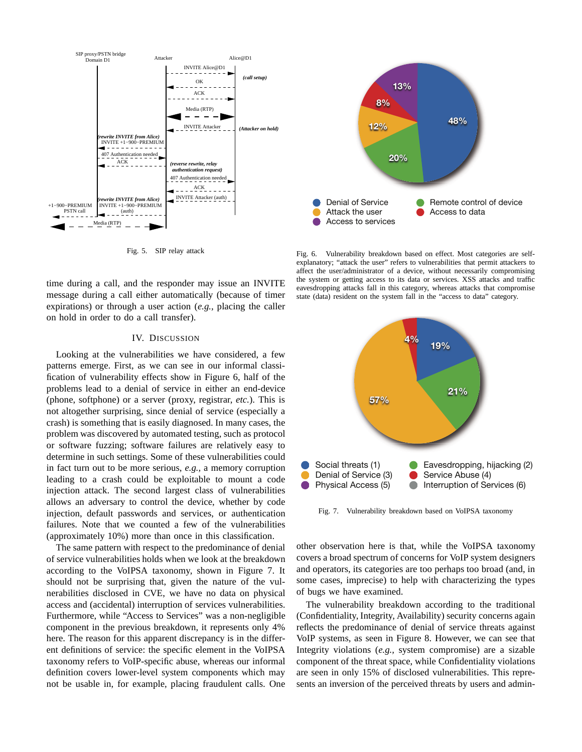

Fig. 5. SIP relay attack

time during a call, and the responder may issue an INVITE message during a call either automatically (because of timer expirations) or through a user action (*e.g.,* placing the caller on hold in order to do a call transfer).

#### IV. DISCUSSION

Looking at the vulnerabilities we have considered, a few patterns emerge. First, as we can see in our informal classification of vulnerability effects show in Figure 6, half of the problems lead to a denial of service in either an end-device (phone, softphone) or a server (proxy, registrar, *etc.*). This is not altogether surprising, since denial of service (especially a crash) is something that is easily diagnosed. In many cases, the problem was discovered by automated testing, such as protocol or software fuzzing; software failures are relatively easy to determine in such settings. Some of these vulnerabilities could in fact turn out to be more serious, *e.g.,* a memory corruption leading to a crash could be exploitable to mount a code injection attack. The second largest class of vulnerabilities allows an adversary to control the device, whether by code injection, default passwords and services, or authentication failures. Note that we counted a few of the vulnerabilities (approximately 10%) more than once in this classification.

The same pattern with respect to the predominance of denial of service vulnerabilities holds when we look at the breakdown according to the VoIPSA taxonomy, shown in Figure 7. It should not be surprising that, given the nature of the vulnerabilities disclosed in CVE, we have no data on physical access and (accidental) interruption of services vulnerabilities. Furthermore, while "Access to Services" was a non-negligible component in the previous breakdown, it represents only 4% here. The reason for this apparent discrepancy is in the different definitions of service: the specific element in the VoIPSA taxonomy refers to VoIP-specific abuse, whereas our informal definition covers lower-level system components which may not be usable in, for example, placing fraudulent calls. One



Fig. 6. Vulnerability breakdown based on effect. Most categories are selfexplanatory; "attack the user" refers to vulnerabilities that permit attackers to affect the user/administrator of a device, without necessarily compromising the system or getting access to its data or services. XSS attacks and traffic eavesdropping attacks fall in this category, whereas attacks that compromise state (data) resident on the system fall in the "access to data" category.



Fig. 7. Vulnerability breakdown based on VoIPSA taxonomy

other observation here is that, while the VoIPSA taxonomy covers a broad spectrum of concerns for VoIP system designers and operators, its categories are too perhaps too broad (and, in some cases, imprecise) to help with characterizing the types of bugs we have examined.

The vulnerability breakdown according to the traditional (Confidentiality, Integrity, Availability) security concerns again reflects the predominance of denial of service threats against VoIP systems, as seen in Figure 8. However, we can see that Integrity violations (*e.g.,* system compromise) are a sizable component of the threat space, while Confidentiality violations are seen in only 15% of disclosed vulnerabilities. This represents an inversion of the perceived threats by users and admin-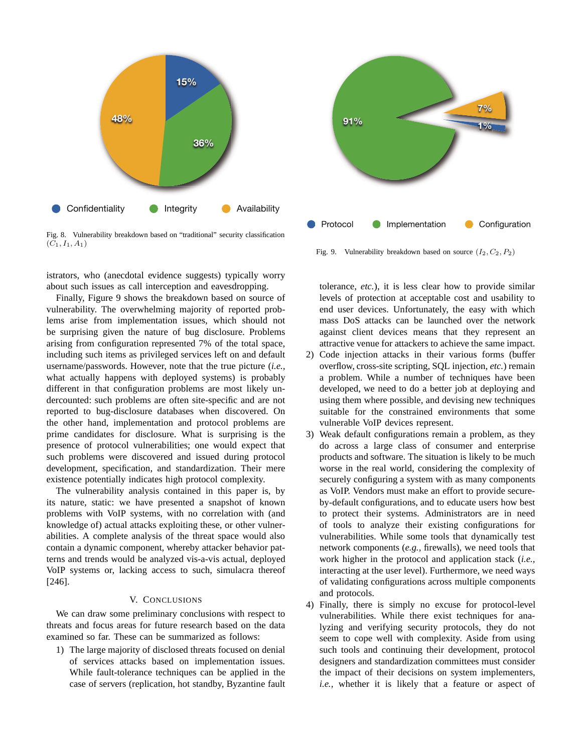

Fig. 8. Vulnerability breakdown based on "traditional" security classification  $(C_1, I_1, A_1)$ 

istrators, who (anecdotal evidence suggests) typically worry about such issues as call interception and eavesdropping.

Finally, Figure 9 shows the breakdown based on source of vulnerability. The overwhelming majority of reported problems arise from implementation issues, which should not be surprising given the nature of bug disclosure. Problems arising from configuration represented 7% of the total space, including such items as privileged services left on and default username/passwords. However, note that the true picture (*i.e.,* what actually happens with deployed systems) is probably different in that configuration problems are most likely undercounted: such problems are often site-specific and are not reported to bug-disclosure databases when discovered. On the other hand, implementation and protocol problems are prime candidates for disclosure. What is surprising is the presence of protocol vulnerabilities; one would expect that such problems were discovered and issued during protocol development, specification, and standardization. Their mere existence potentially indicates high protocol complexity.

The vulnerability analysis contained in this paper is, by its nature, static: we have presented a snapshot of known problems with VoIP systems, with no correlation with (and knowledge of) actual attacks exploiting these, or other vulnerabilities. A complete analysis of the threat space would also contain a dynamic component, whereby attacker behavior patterns and trends would be analyzed vis-a-vis actual, deployed VoIP systems or, lacking access to such, simulacra thereof [246].

# V. CONCLUSIONS

We can draw some preliminary conclusions with respect to threats and focus areas for future research based on the data examined so far. These can be summarized as follows:

1) The large majority of disclosed threats focused on denial of services attacks based on implementation issues. While fault-tolerance techniques can be applied in the case of servers (replication, hot standby, Byzantine fault



Fig. 9. Vulnerability breakdown based on source  $(I_2, C_2, P_2)$ 

tolerance, *etc.*), it is less clear how to provide similar levels of protection at acceptable cost and usability to end user devices. Unfortunately, the easy with which mass DoS attacks can be launched over the network against client devices means that they represent an attractive venue for attackers to achieve the same impact.

- 2) Code injection attacks in their various forms (buffer overflow, cross-site scripting, SQL injection, *etc.*) remain a problem. While a number of techniques have been developed, we need to do a better job at deploying and using them where possible, and devising new techniques suitable for the constrained environments that some vulnerable VoIP devices represent.
- 3) Weak default configurations remain a problem, as they do across a large class of consumer and enterprise products and software. The situation is likely to be much worse in the real world, considering the complexity of securely configuring a system with as many components as VoIP. Vendors must make an effort to provide secureby-default configurations, and to educate users how best to protect their systems. Administrators are in need of tools to analyze their existing configurations for vulnerabilities. While some tools that dynamically test network components (*e.g.,* firewalls), we need tools that work higher in the protocol and application stack (*i.e.,* interacting at the user level). Furthermore, we need ways of validating configurations across multiple components and protocols.
- 4) Finally, there is simply no excuse for protocol-level vulnerabilities. While there exist techniques for analyzing and verifying security protocols, they do not seem to cope well with complexity. Aside from using such tools and continuing their development, protocol designers and standardization committees must consider the impact of their decisions on system implementers, *i.e.,* whether it is likely that a feature or aspect of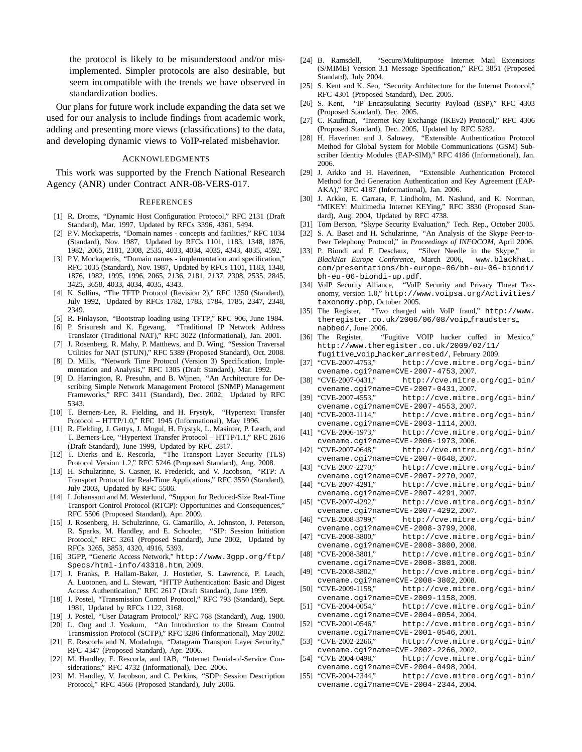the protocol is likely to be misunderstood and/or misimplemented. Simpler protocols are also desirable, but seem incompatible with the trends we have observed in standardization bodies.

Our plans for future work include expanding the data set we used for our analysis to include findings from academic work, adding and presenting more views (classifications) to the data, and developing dynamic views to VoIP-related misbehavior.

#### ACKNOWLEDGMENTS

This work was supported by the French National Research Agency (ANR) under Contract ANR-08-VERS-017.

#### **REFERENCES**

- [1] R. Droms, "Dynamic Host Configuration Protocol," RFC 2131 (Draft Standard), Mar. 1997, Updated by RFCs 3396, 4361, 5494.
- [2] P.V. Mockapetris, "Domain names concepts and facilities," RFC 1034 (Standard), Nov. 1987, Updated by RFCs 1101, 1183, 1348, 1876, 1982, 2065, 2181, 2308, 2535, 4033, 4034, 4035, 4343, 4035, 4592.
- [3] P.V. Mockapetris, "Domain names implementation and specification," RFC 1035 (Standard), Nov. 1987, Updated by RFCs 1101, 1183, 1348, 1876, 1982, 1995, 1996, 2065, 2136, 2181, 2137, 2308, 2535, 2845, 3425, 3658, 4033, 4034, 4035, 4343.
- [4] K. Sollins, "The TFTP Protocol (Revision 2)," RFC 1350 (Standard), July 1992, Updated by RFCs 1782, 1783, 1784, 1785, 2347, 2348, 2349.
- 
- [5] R. Finlayson, "Bootstrap loading using TFTP," RFC 906, June 1984. [6] P. Srisuresh and K. Egevang, Translator (Traditional NAT)," RFC 3022 (Informational), Jan. 2001.
- [7] J. Rosenberg, R. Mahy, P. Matthews, and D. Wing, "Session Traversal Utilities for NAT (STUN)," RFC 5389 (Proposed Standard), Oct. 2008.
- [8] D. Mills, "Network Time Protocol (Version 3) Specification, Implementation and Analysis," RFC 1305 (Draft Standard), Mar. 1992.
- [9] D. Harrington, R. Presuhn, and B. Wijnen, "An Architecture for Describing Simple Network Management Protocol (SNMP) Management Frameworks," RFC 3411 (Standard), Dec. 2002, Updated by RFC 5343.
- [10] T. Berners-Lee, R. Fielding, and H. Frystyk, "Hypertext Transfer Protocol – HTTP/1.0," RFC 1945 (Informational), May 1996.
- [11] R. Fielding, J. Gettys, J. Mogul, H. Frystyk, L. Masinter, P. Leach, and T. Berners-Lee, "Hypertext Transfer Protocol – HTTP/1.1," RFC 2616 (Draft Standard), June 1999, Updated by RFC 2817.
- [12] T. Dierks and E. Rescorla, "The Transport Layer Security (TLS) Protocol Version 1.2," RFC 5246 (Proposed Standard), Aug. 2008.
- [13] H. Schulzrinne, S. Casner, R. Frederick, and V. Jacobson, "RTP: A Transport Protocol for Real-Time Applications," RFC 3550 (Standard), July 2003, Updated by RFC 5506.
- [14] I. Johansson and M. Westerlund, "Support for Reduced-Size Real-Time Transport Control Protocol (RTCP): Opportunities and Consequences," RFC 5506 (Proposed Standard), Apr. 2009.
- [15] J. Rosenberg, H. Schulzrinne, G. Camarillo, A. Johnston, J. Peterson, R. Sparks, M. Handley, and E. Schooler, "SIP: Session Initiation Protocol," RFC 3261 (Proposed Standard), June 2002, Updated by RFCs 3265, 3853, 4320, 4916, 5393.
- [16] 3GPP, "Generic Access Network," http://www.3gpp.org/ftp/ Specs/html-info/43318.htm, 2009.
- [17] J. Franks, P. Hallam-Baker, J. Hostetler, S. Lawrence, P. Leach, A. Luotonen, and L. Stewart, "HTTP Authentication: Basic and Digest Access Authentication," RFC 2617 (Draft Standard), June 1999.
- [18] J. Postel, "Transmission Control Protocol," RFC 793 (Standard), Sept. 1981, Updated by RFCs 1122, 3168.
- [19] J. Postel, "User Datagram Protocol," RFC 768 (Standard), Aug. 1980.
- [20] L. Ong and J. Yoakum, "An Introduction to the Stream Control Transmission Protocol (SCTP)," RFC 3286 (Informational), May 2002.
- [21] E. Rescorla and N. Modadugu, "Datagram Transport Layer Security," RFC 4347 (Proposed Standard), Apr. 2006.
- [22] M. Handley, E. Rescorla, and IAB, "Internet Denial-of-Service Considerations," RFC 4732 (Informational), Dec. 2006.
- [23] M. Handley, V. Jacobson, and C. Perkins, "SDP: Session Description Protocol," RFC 4566 (Proposed Standard), July 2006.
- [24] B. Ramsdell, "Secure/Multipurpose Internet Mail Extensions (S/MIME) Version 3.1 Message Specification," RFC 3851 (Proposed Standard), July 2004.
- [25] S. Kent and K. Seo, "Security Architecture for the Internet Protocol." RFC 4301 (Proposed Standard), Dec. 2005.
- [26] S. Kent, "IP Encapsulating Security Payload (ESP)," RFC 4303 (Proposed Standard), Dec. 2005.
- [27] C. Kaufman, "Internet Key Exchange (IKEv2) Protocol," RFC 4306 (Proposed Standard), Dec. 2005, Updated by RFC 5282.
- [28] H. Haverinen and J. Salowey, "Extensible Authentication Protocol Method for Global System for Mobile Communications (GSM) Subscriber Identity Modules (EAP-SIM)," RFC 4186 (Informational), Jan. 2006.
- [29] J. Arkko and H. Haverinen, "Extensible Authentication Protocol Method for 3rd Generation Authentication and Key Agreement (EAP-AKA)," RFC 4187 (Informational), Jan. 2006.
- [30] J. Arkko, E. Carrara, F. Lindholm, M. Naslund, and K. Norrman, "MIKEY: Multimedia Internet KEYing," RFC 3830 (Proposed Standard), Aug. 2004, Updated by RFC 4738.
- [31] Tom Berson, "Skype Security Evaluation," Tech. Rep., October 2005.
- [32] S. A. Baset and H. Schulzrinne, "An Analysis of the Skype Peer-to-Peer Telephony Protocol," in *Proceedings of INFOCOM*, April 2006.
- [33] P. Biondi and F. Desclaux, "Silver Needle in the Skype," in *BlackHat Europe Conference*, March 2006, www.blackhat. com/presentations/bh-europe-06/bh-eu-06-biondi/ bh-eu-06-biondi-up.pdf.
- [34] VoIP Security Alliance, "VoIP Security and Privacy Threat Taxonomy, version 1.0," http://www.voipsa.org/Activities/ taxonomy.php, October 2005.
- [35] The Register, "Two charged with VoIP fraud," http://www. theregister.co.uk/2006/06/08/voip fraudsters nabbed/, June 2006.
- [36] The Register, "Fugitive VOIP hacker cuffed in Mexico," http://www.theregister.co.uk/2009/02/11/ fugitive voip hacker arrested/, February 2009.
- [37] "CVE-2007-4753," http://cve.mitre.org/cgi-bin/ cvename.cgi?name=CVE-2007-4753, 2007.
- [38] "CVE-2007-0431," http://cve.mitre.org/cgi-bin/ cvename.cgi?name=CVE-2007-0431, 2007.
- [39] "CVE-2007-4553," http://cve.mitre.org/cgi-bin/ cvename.cgi?name=CVE-2007-4553, 2007.
- [40] "CVE-2003-1114," http://cve.mitre.org/cgi-bin/ cvename.cgi?name=CVE-2003-1114, 2003.
- [41] "CVE-2006-1973," http://cve.mitre.org/cgi-bin/ cvename.cgi?name=CVE-2006-1973, 2006.<br>"CVE-2007-0648," http://cve.mitre
- [42] "CVE-2007-0648," http://cve.mitre.org/cgi-bin/ cvename.cgi?name=CVE-2007-0648, 2007.
- [43] "CVE-2007-2270," http://cve.mitre.org/cgi-bin/ cvename.cgi?name=CVE-2007-2270, 2007.<br>[44] "CVE-2007-4291," http://cve.mitre
- http://cve.mitre.org/cgi-bin/ cvename.cgi?name=CVE-2007-4291, 2007.
- [45] "CVE-2007-4292," http://cve.mitre.org/cgi-bin/ cvename.cgi?name=CVE-2007-4292, 2007.
- [46] "CVE-2008-3799," http://cve.mitre.org/cgi-bin/ cvename.cgi?name=CVE-2008-3799, 2008.<br>[47] "CVE-2008-3800," http://cve.mitre
- http://cve.mitre.org/cgi-bin/ cvename.cgi?name=CVE-2008-3800, 2008.
- [48] "CVE-2008-3801," http://cve.mitre.org/cgi-bin/ cvename.cgi?name=CVE-2008-3801, 2008.
- [49] "CVE-2008-3802," http://cve.mitre.org/cgi-bin/ cvename.cgi?name=CVE-2008-3802, 2008.
- [50] "CVE-2009-1158," http://cve.mitre.org/cgi-bin/ cvename.cgi?name=CVE-2009-1158, 2009.
- [51] "CVE-2004-0054," http://cve.mitre.org/cgi-bin/ cvename.cgi?name=CVE-2004-0054, 2004.
- [52] "CVE-2001-0546," http://cve.mitre.org/cgi-bin/ cvename.cgi?name=CVE-2001-0546, 2001.<br>"CVE-2002-2266," http://cve.mitre
- [53] "CVE-2002-2266," http://cve.mitre.org/cgi-bin/ cvename.cgi?name=CVE-2002-2266, 2002.
- [54] "CVE-2004-0498," http://cve.mitre.org/cgi-bin/ cvename.cgi?name=CVE-2004-0498, 2004.
- [55] "CVE-2004-2344," http://cve.mitre.org/cgi-bin/ cvename.cgi?name=CVE-2004-2344, 2004.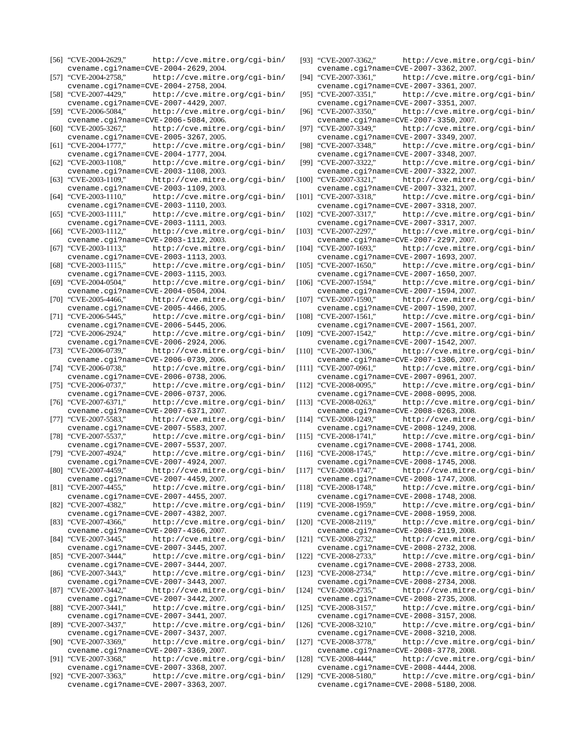- [56] "CVE-2004-2629," http://cve.mitre.org/cgi-bin/ cvename.cgi?name=CVE-2004-2629, 2004.
- [57] "CVE-2004-2758," http://cve.mitre.org/cgi-bin/ cvename.cgi?name=CVE-2004-2758, 2004.
- [58] "CVE-2007-4429," http://cve.mitre.org/cgi-bin/ cvename.cgi?name=CVE-2007-4429, 2007.
- [59] "CVE-2006-5084," http://cve.mitre.org/cgi-bin/ cvename.cgi?name=CVE-2006-5084, 2006.
- [60] "CVE-2005-3267," http://cve.mitre.org/cgi-bin/ cvename.cgi?name=CVE-2005-3267, 2005.<br>[61] "CVE-2004-1777," http://cve.mitre
- http://cve.mitre.org/cgi-bin/ cvename.cgi?name=CVE-2004-1777, 2004.
- [62] "CVE-2003-1108," http://cve.mitre.org/cgi-bin/ cvename.cgi?name=CVE-2003-1108, 2003.
- [63] "CVE-2003-1109," http://cve.mitre.org/cgi-bin/ cvename.cgi?name=CVE-2003-1109, 2003.
- [64] "CVE-2003-1110," http://cve.mitre.org/cgi-bin/ cvename.cgi?name=CVE-2003-1110, 2003.<br>[65] "CVE-2003-1111," http://cve.mitre
- http://cve.mitre.org/cgi-bin/ cvename.cgi?name=CVE-2003-1111, 2003.<br>[66] "CVE-2003-1112," http://cve.mitre
- http://cve.mitre.org/cgi-bin/ cvename.cgi?name=CVE-2003-1112, 2003.
- [67] "CVE-2003-1113," http://cve.mitre.org/cgi-bin/ cvename.cgi?name=CVE-2003-1113, 2003.
- [68] "CVE-2003-1115," http://cve.mitre.org/cgi-bin/ cvename.cgi?name=CVE-2003-1115, 2003.
- [69] "CVE-2004-0504," http://cve.mitre.org/cgi-bin/ cvename.cgi?name=CVE-2004-0504, 2004.
- [70] "CVE-2005-4466," http://cve.mitre.org/cgi-bin/ cvename.cgi?name=CVE-2005-4466, 2005.
- [71] "CVE-2006-5445," http://cve.mitre.org/cgi-bin/ cvename.cgi?name=CVE-2006-5445, 2006.<br>[72] "CVE-2006-2924," http://cve.mitre
- http://cve.mitre.org/cgi-bin/ cvename.cgi?name=CVE-2006-2924, 2006.
- [73] "CVE-2006-0739," http://cve.mitre.org/cgi-bin/ cvename.cgi?name=CVE-2006-0739, 2006.
- [74] "CVE-2006-0738," http://cve.mitre.org/cgi-bin/ cvename.cgi?name=CVE-2006-0738, 2006.
- [75] "CVE-2006-0737," http://cve.mitre.org/cgi-bin/ cvename.cgi?name=CVE-2006-0737, 2006.<br>[76] "CVE-2007-6371," http://cve.mitre.
- http://cve.mitre.org/cgi-bin/
- cvename.cgi?name=CVE-2007-6371, 2007.<br>[77] "CVE-2007-5583," http://cve.mitre http://cve.mitre.org/cgi-bin/ cvename.cgi?name=CVE-2007-5583, 2007.
- [78] "CVE-2007-5537," http://cve.mitre.org/cgi-bin/ cvename.cgi?name=CVE-2007-5537, 2007.<br>[79] "CVE-2007-4924," http://cve.mitre
- http://cve.mitre.org/cgi-bin/ cvename.cgi?name=CVE-2007-4924, 2007.
- [80] "CVE-2007-4459," http://cve.mitre.org/cgi-bin/ cvename.cgi?name=CVE-2007-4459, 2007.
- [81] "CVE-2007-4455," http://cve.mitre.org/cgi-bin/ cvename.cgi?name=CVE-2007-4455, 2007.
- [82] "CVE-2007-4382," http://cve.mitre.org/cgi-bin/ cvename.cgi?name=CVE-2007-4382, 2007.
- [83] "CVE-2007-4366," http://cve.mitre.org/cgi-bin/ cvename.cgi?name=CVE-2007-4366, 2007.<br>[84] "CVE-2007-3445," http://cve.mitre
- http://cve.mitre.org/cgi-bin/ cvename.cgi?name=CVE-2007-3445, 2007.
- [85] "CVE-2007-3444," http://cve.mitre.org/cgi-bin/ cvename.cgi?name=CVE-2007-3444, 2007.<br>[86] "CVE-2007-3443," http://cve.mitre
- http://cve.mitre.org/cgi-bin/ cvename.cgi?name=CVE-2007-3443, 2007.
- [87] "CVE-2007-3442," http://cve.mitre.org/cgi-bin/ cvename.cgi?name=CVE-2007-3442, 2007.
- [88] "CVE-2007-3441," http://cve.mitre.org/cgi-bin/ cvename.cgi?name=CVE-2007-3441, 2007.<br>[89] "CVE-2007-3437," http://cve.mitre
- http://cve.mitre.org/cgi-bin/ cvename.cgi?name=CVE-2007-3437, 2007.<br>[90] "CVE-2007-3369," http://cve.mitre.
- http://cve.mitre.org/cgi-bin/ cvename.cgi?name=CVE-2007-3369, 2007.
- [91] "CVE-2007-3368," http://cve.mitre.org/cgi-bin/ cvename.cgi?name=CVE-2007-3368, 2007.
- [92] "CVE-2007-3363," http://cve.mitre.org/cgi-bin/ cvename.cgi?name=CVE-2007-3363, 2007.
- [93] "CVE-2007-3362," http://cve.mitre.org/cgi-bin/ cvename.cgi?name=CVE-2007-3362, 2007.
- [94] "CVE-2007-3361," http://cve.mitre.org/cgi-bin/ cvename.cgi?name=CVE-2007-3361, 2007.
- [95] "CVE-2007-3351," http://cve.mitre.org/cgi-bin/ cvename.cgi?name=CVE-2007-3351, 2007.
- [96] "CVE-2007-3350," http://cve.mitre.org/cgi-bin/ cvename.cgi?name=CVE-2007-3350, 2007.<br>"CVE-2007-3349." http://cve.mitre
- [97] "CVE-2007-3349," http://cve.mitre.org/cgi-bin/ cvename.cgi?name=CVE-2007-3349, 2007.<br>"CVE-2007-3348," http://cve.mitre
- [98] "CVE-2007-3348," http://cve.mitre.org/cgi-bin/ cvename.cgi?name=CVE-2007-3348, 2007.
- [99] "CVE-2007-3322," http://cve.mitre.org/cgi-bin/ cvename.cgi?name=CVE-2007-3322, 2007.
- [100] "CVE-2007-3321," http://cve.mitre.org/cgi-bin/ cvename.cgi?name=CVE-2007-3321, 2007.
- [101] "CVE-2007-3318," http://cve.mitre.org/cgi-bin/ cvename.cgi?name=CVE-2007-3318, 2007.<br>"CVE-2007-3317," http://cve.mitre
- [102] "CVE-2007-3317," http://cve.mitre.org/cgi-bin/ cvename.cgi?name=CVE-2007-3317, 2007.<br>"CVE-2007-2297," http://cve.mitre
- [103] "CVE-2007-2297," http://cve.mitre.org/cgi-bin/ cvename.cgi?name=CVE-2007-2297, 2007.
- [104] "CVE-2007-1693," http://cve.mitre.org/cgi-bin/ cvename.cgi?name=CVE-2007-1693, 2007.
- [105] "CVE-2007-1650," http://cve.mitre.org/cgi-bin/ cvename.cgi?name=CVE-2007-1650, 2007.
- [106] "CVE-2007-1594," http://cve.mitre.org/cgi-bin/ cvename.cgi?name=CVE-2007-1594, 2007.
- [107] "CVE-2007-1590," http://cve.mitre.org/cgi-bin/ cvename.cgi?name=CVE-2007-1590, 2007.
- $[108]$  "CVE-2007-1561," http://cve.mitre.org/cgi-bin/ cvename.cgi?name=CVE-2007-1561, 2007.<br>[109] "CVE-2007-1542." http://cve.mitre
- http://cve.mitre.org/cgi-bin/ cvename.cgi?name=CVE-2007-1542, 2007.
- [110] "CVE-2007-1306," http://cve.mitre.org/cgi-bin/ cvename.cgi?name=CVE-2007-1306, 2007.
- [111] "CVE-2007-0961," http://cve.mitre.org/cgi-bin/ cvename.cgi?name=CVE-2007-0961, 2007.
- [112] "CVE-2008-0095," http://cve.mitre.org/cgi-bin/ cvename.cgi?name=CVE-2008-0095, 2008.
- [113] "CVE-2008-0263," http://cve.mitre.org/cgi-bin/ cvename.cgi?name=CVE-2008-0263, 2008.<br>"CVE-2008-1249," http://cve.mitre
- [114] "CVE-2008-1249," http://cve.mitre.org/cgi-bin/ cvename.cgi?name=CVE-2008-1249, 2008.
- [115] "CVE-2008-1741," http://cve.mitre.org/cgi-bin/ cvename.cgi?name=CVE-2008-1741, 2008.<br>[116] "CVE-2008-1745." http://cve.mitre
- http://cve.mitre.org/cgi-bin/ cvename.cgi?name=CVE-2008-1745, 2008.
- [117] "CVE-2008-1747," http://cve.mitre.org/cgi-bin/ cvename.cgi?name=CVE-2008-1747, 2008.
- [118] "CVE-2008-1748," http://cve.mitre.org/cgi-bin/ cvename.cgi?name=CVE-2008-1748, 2008.
- [119] "CVE-2008-1959," http://cve.mitre.org/cgi-bin/ cvename.cgi?name=CVE-2008-1959, 2008.
- [120] "CVE-2008-2119," http://cve.mitre.org/cgi-bin/ cvename.cgi?name=CVE-2008-2119, 2008.<br>"CVE-2008-2732," http://cve.mitre
- [121] "CVE-2008-2732," http://cve.mitre.org/cgi-bin/ cvename.cgi?name=CVE-2008-2732, 2008.
- [122] "CVE-2008-2733," http://cve.mitre.org/cgi-bin/ cvename.cgi?name=CVE-2008-2733, 2008.<br>[123] "CVE-2008-2734," http://cve.mitre
- http://cve.mitre.org/cgi-bin/ cvename.cgi?name=CVE-2008-2734, 2008.
- [124] "CVE-2008-2735," http://cve.mitre.org/cgi-bin/ cvename.cgi?name=CVE-2008-2735, 2008.
- [125] "CVE-2008-3157," http://cve.mitre.org/cgi-bin/ cvename.cgi?name=CVE-2008-3157, 2008.<br>[126] "CVE-2008-3210," http://cve.mitre
- http://cve.mitre.org/cgi-bin/ cvename.cgi?name=CVE-2008-3210, 2008.<br>"CVE-2008-3778," http://cve.mitre
- [127] "CVE-2008-3778," http://cve.mitre.org/cgi-bin/ cvename.cgi?name=CVE-2008-3778, 2008.
- [128] "CVE-2008-4444," http://cve.mitre.org/cgi-bin/ cvename.cgi?name=CVE-2008-4444, 2008.
- [129] "CVE-2008-5180," http://cve.mitre.org/cgi-bin/ cvename.cgi?name=CVE-2008-5180, 2008.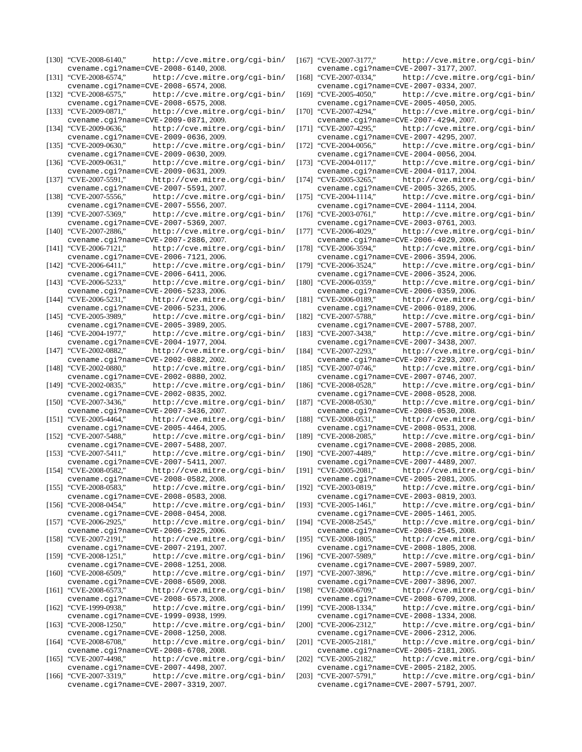- [130] "CVE-2008-6140," http://cve.mitre.org/cgi-bin/ cvename.cgi?name=CVE-2008-6140, 2008.
- [131] "CVE-2008-6574," http://cve.mitre.org/cgi-bin/ cvename.cgi?name=CVE-2008-6574, 2008.
- [132] "CVE-2008-6575," http://cve.mitre.org/cgi-bin/ cvename.cgi?name=CVE-2008-6575, 2008.
- [133] "CVE-2009-0871," http://cve.mitre.org/cgi-bin/ cvename.cgi?name=CVE-2009-0871, 2009.
- [134] "CVE-2009-0636," http://cve.mitre.org/cgi-bin/ cvename.cgi?name=CVE-2009-0636, 2009.<br>[135] "CVE-2009-0630," http://cve.mitre
- http://cve.mitre.org/cgi-bin/ cvename.cgi?name=CVE-2009-0630, 2009.
- [136] "CVE-2009-0631," http://cve.mitre.org/cgi-bin/ cvename.cgi?name=CVE-2009-0631, 2009.
- [137] "CVE-2007-5591," http://cve.mitre.org/cgi-bin/ cvename.cgi?name=CVE-2007-5591, 2007.
- [138] "CVE-2007-5556," http://cve.mitre.org/cgi-bin/ cvename.cgi?name=CVE-2007-5556, 2007.<br>[139] "CVE-2007-5369," http://cve.mitre
- http://cve.mitre.org/cgi-bin/ cvename.cgi?name=CVE-2007-5369, 2007.<br>[140] "CVE-2007-2886," http://cve.mitre
- http://cve.mitre.org/cgi-bin/ cvename.cgi?name=CVE-2007-2886, 2007.
- [141] "CVE-2006-7121," http://cve.mitre.org/cgi-bin/ cvename.cgi?name=CVE-2006-7121, 2006.
- [142] "CVE-2006-6411," http://cve.mitre.org/cgi-bin/ cvename.cgi?name=CVE-2006-6411, 2006.
- [143] "CVE-2006-5233," http://cve.mitre.org/cgi-bin/ cvename.cgi?name=CVE-2006-5233, 2006.
- [144] "CVE-2006-5231," http://cve.mitre.org/cgi-bin/ cvename.cgi?name=CVE-2006-5231, 2006.
- $[145]$  "CVE-2005-3989," http://cve.mitre.org/cgi-bin/ cvename.cgi?name=CVE-2005-3989, 2005.<br>[146] "CVE-2004-1977," http://cve.mitre
- http://cve.mitre.org/cgi-bin/ cvename.cgi?name=CVE-2004-1977, 2004.
- [147] "CVE-2002-0882," http://cve.mitre.org/cgi-bin/ cvename.cgi?name=CVE-2002-0882, 2002.
- [148] "CVE-2002-0880," http://cve.mitre.org/cgi-bin/ cvename.cgi?name=CVE-2002-0880, 2002.
- [149] "CVE-2002-0835," http://cve.mitre.org/cgi-bin/ cvename.cgi?name=CVE-2002-0835, 2002.
- [150] "CVE-2007-3436," http://cve.mitre.org/cgi-bin/ cvename.cgi?name=CVE-2007-3436, 2007.<br>[151] "CVE-2005-4464," http://cve.mitre
- http://cve.mitre.org/cgi-bin/ cvename.cgi?name=CVE-2005-4464, 2005.
- [152] "CVE-2007-5488," http://cve.mitre.org/cgi-bin/ cvename.cgi?name=CVE-2007-5488, 2007.<br>[153] "CVE-2007-5411," http://cve.mitre
- http://cve.mitre.org/cgi-bin/ cvename.cgi?name=CVE-2007-5411, 2007.
- [154] "CVE-2008-0582," http://cve.mitre.org/cgi-bin/ cvename.cgi?name=CVE-2008-0582, 2008.
- [155] "CVE-2008-0583," http://cve.mitre.org/cgi-bin/ cvename.cgi?name=CVE-2008-0583, 2008.
- [156] "CVE-2008-0454," http://cve.mitre.org/cgi-bin/ cvename.cgi?name=CVE-2008-0454, 2008.
- [157] "CVE-2006-2925," http://cve.mitre.org/cgi-bin/ cvename.cgi?name=CVE-2006-2925, 2006.<br>[158] "CVE-2007-2191," http://cve.mitre
- http://cve.mitre.org/cgi-bin/ cvename.cgi?name=CVE-2007-2191, 2007.
- [159] "CVE-2008-1251," http://cve.mitre.org/cgi-bin/ cvename.cgi?name=CVE-2008-1251, 2008.
- [160] "CVE-2008-6509," http://cve.mitre.org/cgi-bin/ cvename.cgi?name=CVE-2008-6509, 2008.
- [161] "CVE-2008-6573," http://cve.mitre.org/cgi-bin/ cvename.cgi?name=CVE-2008-6573, 2008.
- [162] "CVE-1999-0938," http://cve.mitre.org/cgi-bin/ cvename.cgi?name=CVE-1999-0938, 1999.<br>[163] "CVE-2008-1250," http://cve.mitre
- http://cve.mitre.org/cgi-bin/ cvename.cgi?name=CVE-2008-1250, 2008.<br>[164] "CVE-2008-6708," http://cve.mitre
- http://cve.mitre.org/cgi-bin/ cvename.cgi?name=CVE-2008-6708, 2008.
- [165] "CVE-2007-4498," http://cve.mitre.org/cgi-bin/ cvename.cgi?name=CVE-2007-4498, 2007.
- [166] "CVE-2007-3319," http://cve.mitre.org/cgi-bin/ cvename.cgi?name=CVE-2007-3319, 2007.
- [167] "CVE-2007-3177," http://cve.mitre.org/cgi-bin/ cvename.cgi?name=CVE-2007-3177, 2007.
- [168] "CVE-2007-0334," http://cve.mitre.org/cgi-bin/ cvename.cgi?name=CVE-2007-0334, 2007.
- [169] "CVE-2005-4050," http://cve.mitre.org/cgi-bin/ cvename.cgi?name=CVE-2005-4050, 2005.<br>[170] "CVE-2007-4294," http://cve.mitre
- http://cve.mitre.org/cgi-bin/ cvename.cgi?name=CVE-2007-4294, 2007.<br>[171] "CVE-2007-4295," http://cve.mitre
- http://cve.mitre.org/cgi-bin/ cvename.cgi?name=CVE-2007-4295, 2007.<br>[172] "CVE-2004-0056," http://cve.mitre
- http://cve.mitre.org/cgi-bin/ cvename.cgi?name=CVE-2004-0056, 2004.
- [173] "CVE-2004-0117," http://cve.mitre.org/cgi-bin/ cvename.cgi?name=CVE-2004-0117, 2004.
- [174] "CVE-2005-3265," http://cve.mitre.org/cgi-bin/ cvename.cgi?name=CVE-2005-3265, 2005.
- [175] "CVE-2004-1114," http://cve.mitre.org/cgi-bin/ cvename.cgi?name=CVE-2004-1114, 2004.<br>[176] "CVE-2003-0761," http://cve.mitre
- http://cve.mitre.org/cgi-bin/ cvename.cgi?name=CVE-2003-0761, 2003.
- [177] "CVE-2006-4029," http://cve.mitre.org/cgi-bin/ cvename.cgi?name=CVE-2006-4029, 2006.
- [178] "CVE-2006-3594," http://cve.mitre.org/cgi-bin/ cvename.cgi?name=CVE-2006-3594, 2006.
- [179] "CVE-2006-3524," http://cve.mitre.org/cgi-bin/ cvename.cgi?name=CVE-2006-3524, 2006.
- [180] "CVE-2006-0359," http://cve.mitre.org/cgi-bin/ cvename.cgi?name=CVE-2006-0359, 2006.
- [181] "CVE-2006-0189," http://cve.mitre.org/cgi-bin/ cvename.cgi?name=CVE-2006-0189, 2006.
- [182] "CVE-2007-5788," http://cve.mitre.org/cgi-bin/ cvename.cgi?name=CVE-2007-5788, 2007.<br>[183] "CVE-2007-3438." http://cve.mitre
- http://cve.mitre.org/cgi-bin/ cvename.cgi?name=CVE-2007-3438, 2007.
- [184] "CVE-2007-2293," http://cve.mitre.org/cgi-bin/ cvename.cgi?name=CVE-2007-2293, 2007.
- [185] "CVE-2007-0746," http://cve.mitre.org/cgi-bin/ cvename.cgi?name=CVE-2007-0746, 2007.
- [186] "CVE-2008-0528," http://cve.mitre.org/cgi-bin/ cvename.cgi?name=CVE-2008-0528, 2008.
- [187] "CVE-2008-0530," http://cve.mitre.org/cgi-bin/ cvename.cgi?name=CVE-2008-0530, 2008.<br>[188] "CVE-2008-0531," http://cve.mitre
- http://cve.mitre.org/cgi-bin/ cvename.cgi?name=CVE-2008-0531, 2008.
- [189] "CVE-2008-2085," http://cve.mitre.org/cgi-bin/ cvename.cgi?name=CVE-2008-2085, 2008.<br>[190] "CVE-2007-4489." http://cve.mitre
- http://cve.mitre.org/cgi-bin/ cvename.cgi?name=CVE-2007-4489, 2007.
- [191] "CVE-2005-2081," http://cve.mitre.org/cgi-bin/ cvename.cgi?name=CVE-2005-2081, 2005.
- [192] "CVE-2003-0819," http://cve.mitre.org/cgi-bin/ cvename.cgi?name=CVE-2003-0819, 2003.
- [193] "CVE-2005-1461," http://cve.mitre.org/cgi-bin/ cvename.cgi?name=CVE-2005-1461, 2005.
- [194] "CVE-2008-2545," http://cve.mitre.org/cgi-bin/ cvename.cgi?name=CVE-2008-2545, 2008.<br>"CVE-2008-1805," http://cve.mitre
- [195] "CVE-2008-1805," http://cve.mitre.org/cgi-bin/ cvename.cgi?name=CVE-2008-1805, 2008.
- [196] "CVE-2007-5989," http://cve.mitre.org/cgi-bin/ cvename.cgi?name=CVE-2007-5989, 2007.<br>[197] "CVE-2007-3896," http://cve.mitre
- http://cve.mitre.org/cgi-bin/ cvename.cgi?name=CVE-2007-3896, 2007.
- [198] "CVE-2008-6709," http://cve.mitre.org/cgi-bin/ cvename.cgi?name=CVE-2008-6709, 2008.
- [199] "CVE-2008-1334," http://cve.mitre.org/cgi-bin/ cvename.cgi?name=CVE-2008-1334, 2008.<br>[200] "CVE-2006-2312," http://cve.mitre
- http://cve.mitre.org/cgi-bin/ cvename.cgi?name=CVE-2006-2312, 2006.<br>[201] "CVE-2005-2181," http://cve.mitre
- http://cve.mitre.org/cgi-bin/ cvename.cgi?name=CVE-2005-2181, 2005.
- [202] "CVE-2005-2182," http://cve.mitre.org/cgi-bin/ cvename.cgi?name=CVE-2005-2182, 2005.
- [203] "CVE-2007-5791," http://cve.mitre.org/cgi-bin/ cvename.cgi?name=CVE-2007-5791, 2007.